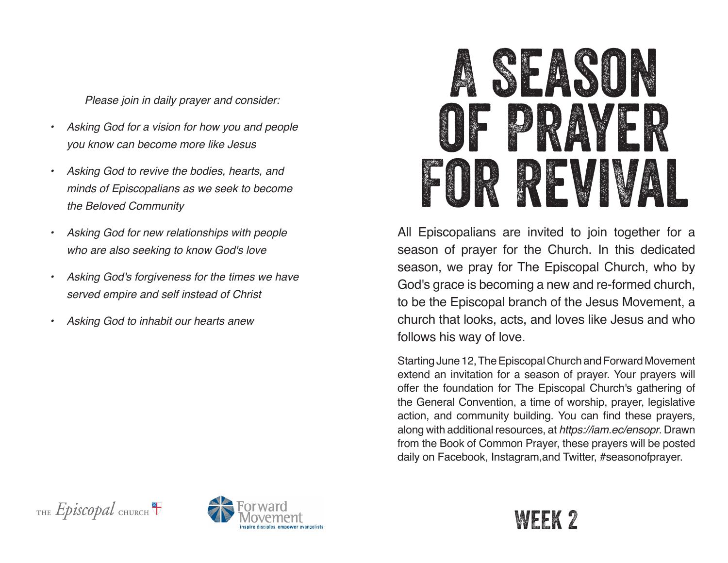*Please join in daily prayer and consider:*

- *• Asking God for a vision for how you and people you know can become more like Jesus*
- *• Asking God to revive the bodies, hearts, and minds of Episcopalians as we seek to become the Beloved Community*
- *• Asking God for new relationships with people who are also seeking to know God's love*
- *• Asking God's forgiveness for the times we have served empire and self instead of Christ*
- *• Asking God to inhabit our hearts anew*



All Episcopalians are invited to join together for a season of prayer for the Church. In this dedicated season, we pray for The Episcopal Church, who by God's grace is becoming a new and re-formed church, to be the Episcopal branch of the Jesus Movement, a church that looks, acts, and loves like Jesus and who follows his way of love.

Starting June 12, The Episcopal Church and Forward Movement extend an invitation for a season of prayer. Your prayers will offer the foundation for The Episcopal Church's gathering of the General Convention, a time of worship, prayer, legislative action, and community building. You can find these prayers, along with additional resources, at *https://iam.ec/ensopr*. Drawn from the Book of Common Prayer, these prayers will be posted daily on Facebook, Instagram,and Twitter, #seasonofprayer.